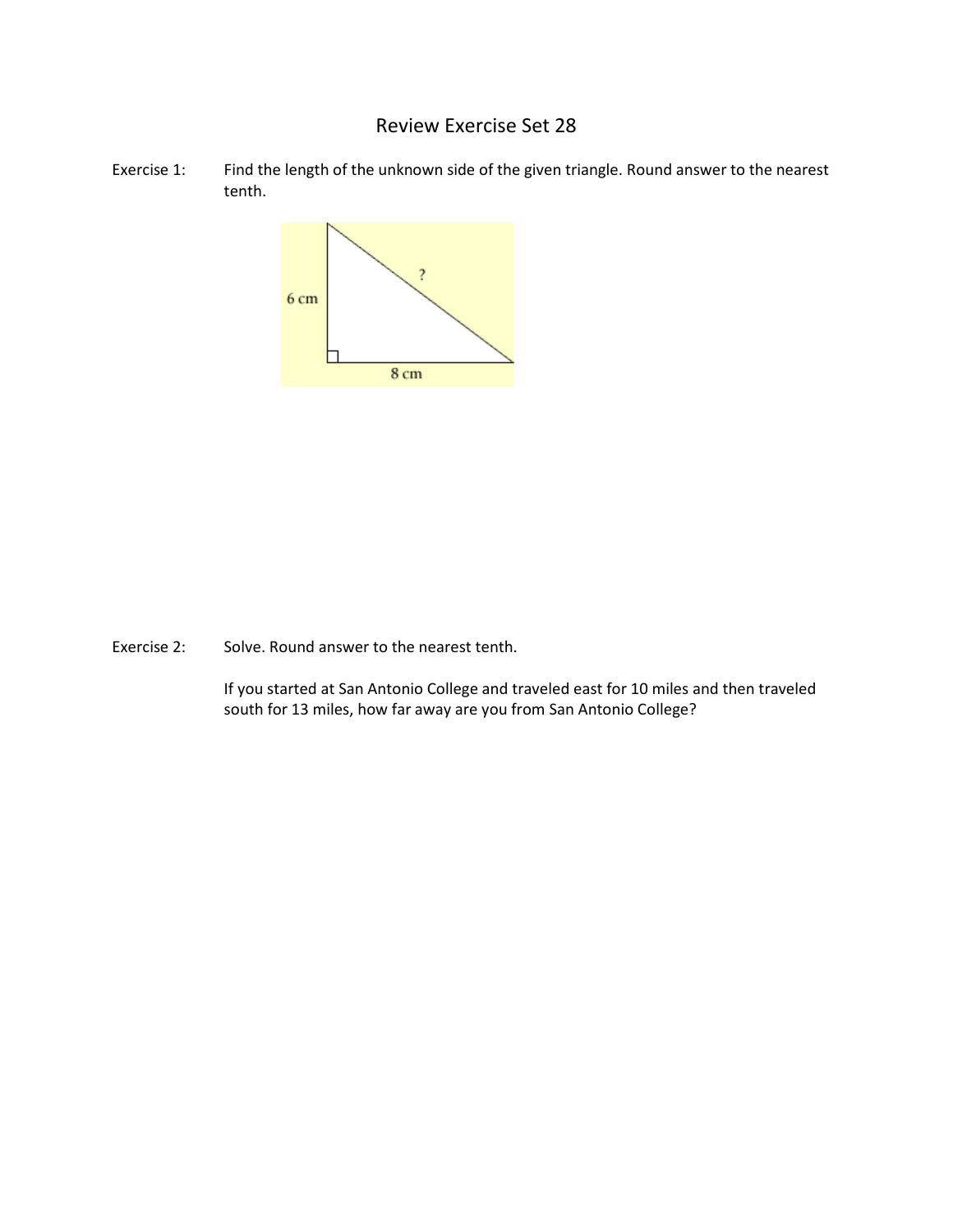## Review Exercise Set 28

Exercise 1: Find the length of the unknown side of the given triangle. Round answer to the nearest tenth.



Exercise 2: Solve. Round answer to the nearest tenth.

If you started at San Antonio College and traveled east for 10 miles and then traveled south for 13 miles, how far away are you from San Antonio College?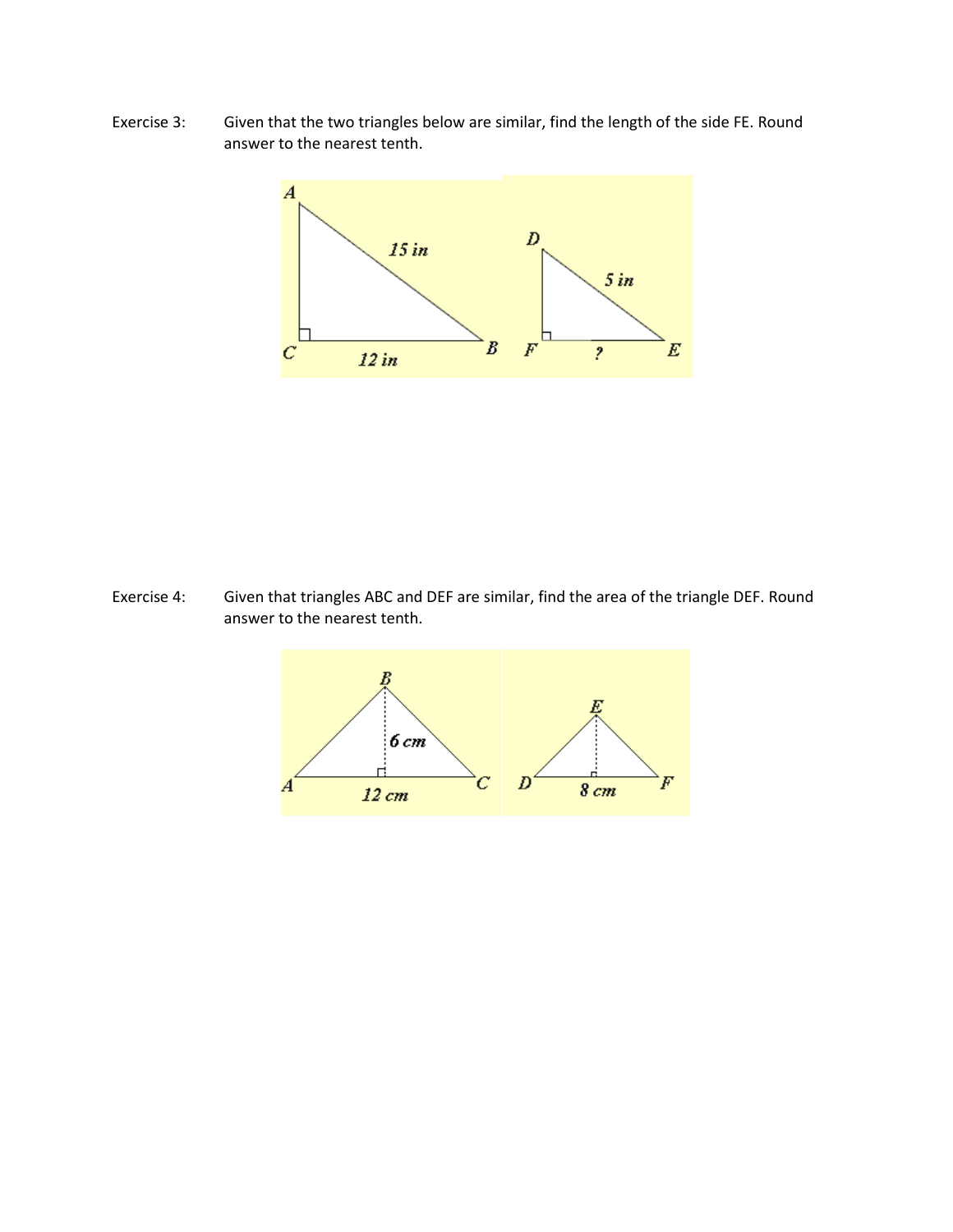Exercise 3: Given that the two triangles below are similar, find the length of the side FE. Round answer to the nearest tenth.



Exercise 4: Given that triangles ABC and DEF are similar, find the area of the triangle DEF. Round answer to the nearest tenth.

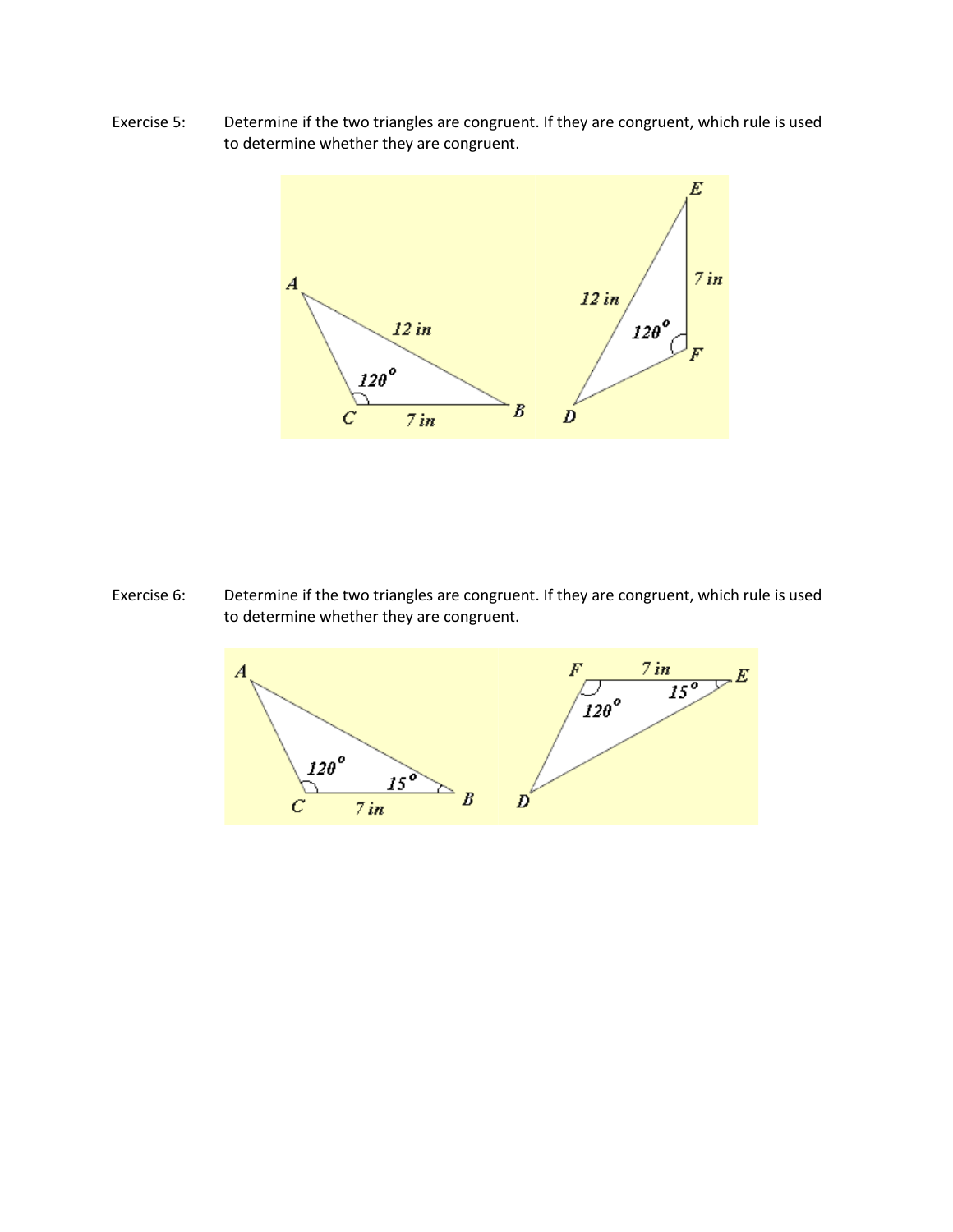Exercise 5: Determine if the two triangles are congruent. If they are congruent, which rule is used to determine whether they are congruent.



Exercise 6: Determine if the two triangles are congruent. If they are congruent, which rule is used to determine whether they are congruent.

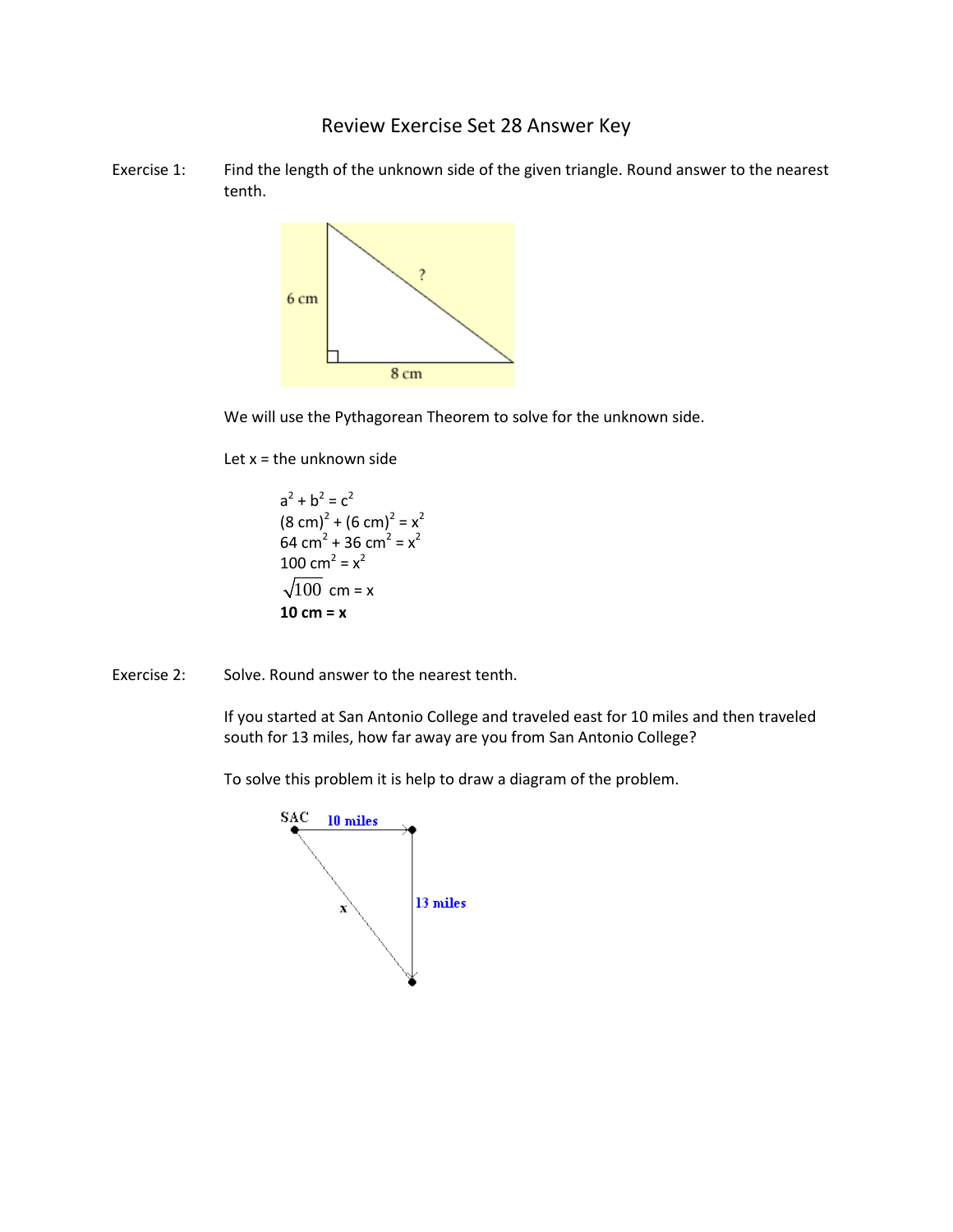Review Exercise Set 28 Answer Key

Exercise 1: Find the length of the unknown side of the given triangle. Round answer to the nearest tenth.



We will use the Pythagorean Theorem to solve for the unknown side.

Let  $x =$  the unknown side

 $a^2 + b^2 = c^2$  $(8 \text{ cm})^2 + (6 \text{ cm})^2 = x^2$ 64 cm<sup>2</sup> + 36 cm<sup>2</sup> =  $x^2$ 100 cm<sup>2</sup> =  $x^2$  $\sqrt{100}$  cm = x **10 cm = x**

Exercise 2: Solve. Round answer to the nearest tenth.

If you started at San Antonio College and traveled east for 10 miles and then traveled south for 13 miles, how far away are you from San Antonio College?

To solve this problem it is help to draw a diagram of the problem.

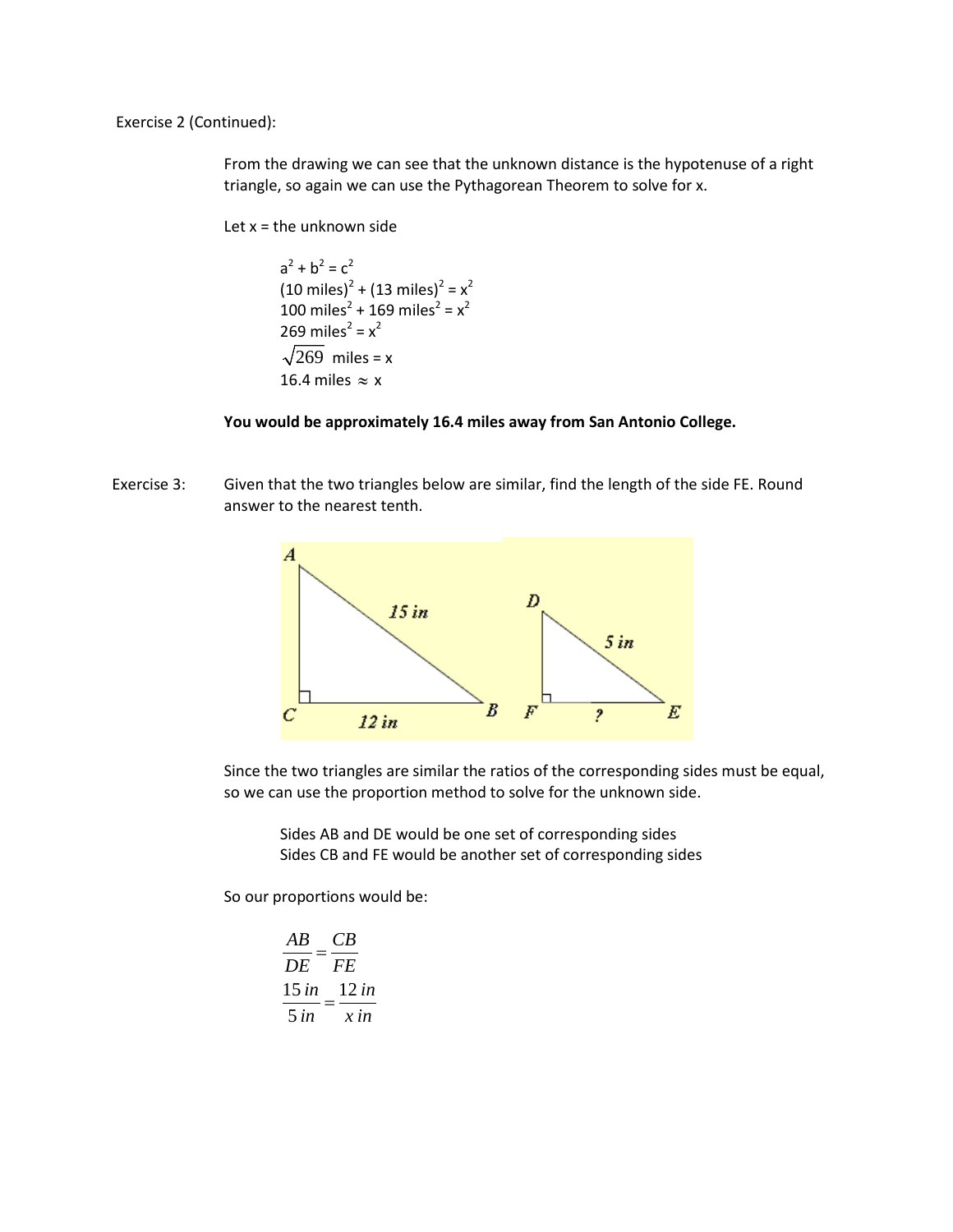Exercise 2 (Continued):

From the drawing we can see that the unknown distance is the hypotenuse of a right triangle, so again we can use the Pythagorean Theorem to solve for x.

Let  $x =$  the unknown side

 $a^2 + b^2 = c^2$  $(10 \text{ miles})^2 + (13 \text{ miles})^2 = x^2$ 100 miles<sup>2</sup> + 169 miles<sup>2</sup> =  $x^2$ 269 miles<sup>2</sup> =  $x^2$  $\sqrt{269}$  miles = x 16.4 miles  $\approx x$ 

#### **You would be approximately 16.4 miles away from San Antonio College.**

Exercise 3: Given that the two triangles below are similar, find the length of the side FE. Round answer to the nearest tenth.



Since the two triangles are similar the ratios of the corresponding sides must be equal, so we can use the proportion method to solve for the unknown side.

Sides AB and DE would be one set of corresponding sides Sides CB and FE would be another set of corresponding sides

So our proportions would be:

$$
\frac{AB}{DE} = \frac{CB}{FE}
$$

$$
\frac{15 \text{ in}}{5 \text{ in}} = \frac{12 \text{ in}}{x \text{ in}}
$$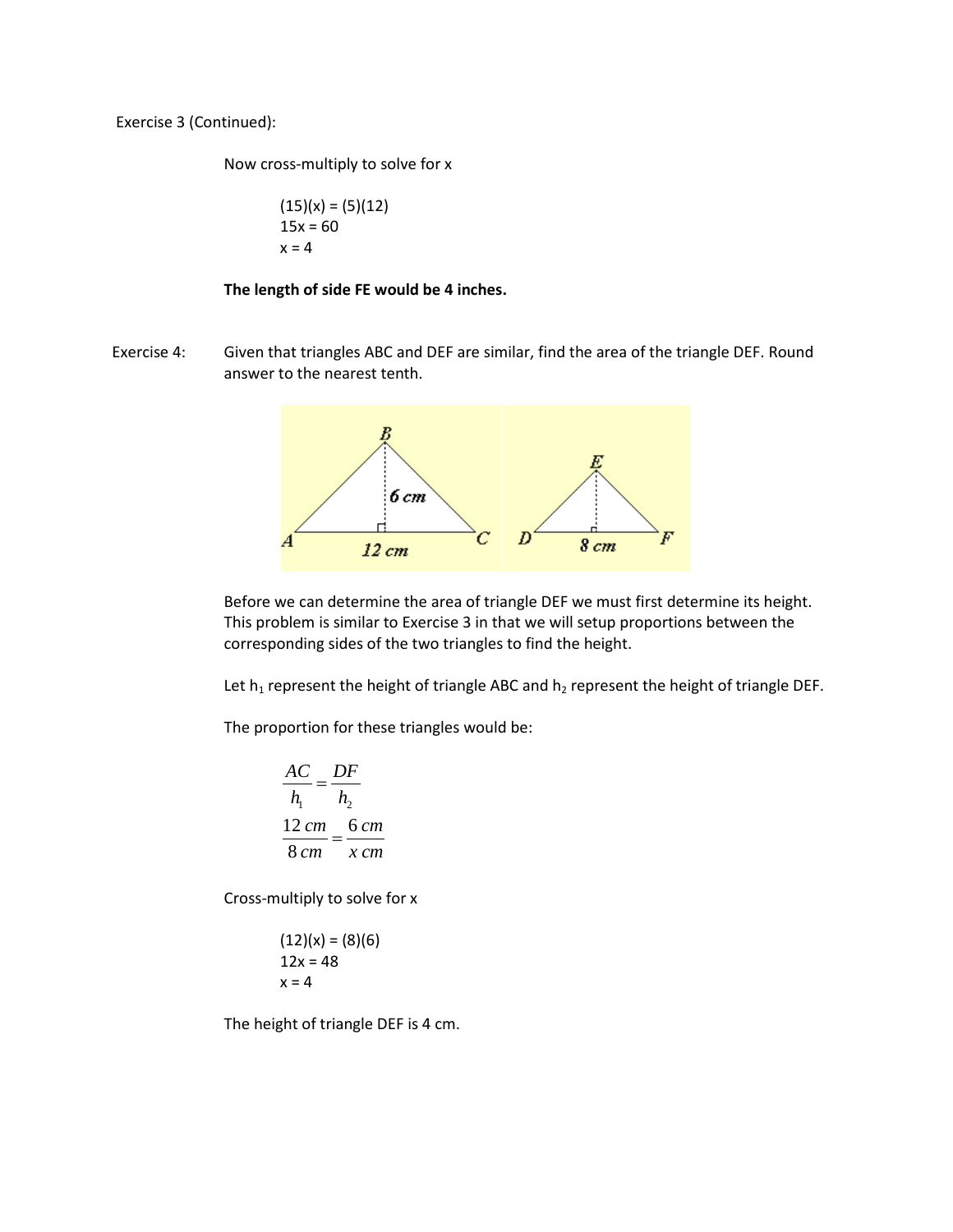Exercise 3 (Continued):

Now cross-multiply to solve for x

$$
(15)(x) = (5)(12)
$$
  
15x = 60  
x = 4

### **The length of side FE would be 4 inches.**

Exercise 4: Given that triangles ABC and DEF are similar, find the area of the triangle DEF. Round answer to the nearest tenth.



Before we can determine the area of triangle DEF we must first determine its height. This problem is similar to Exercise 3 in that we will setup proportions between the corresponding sides of the two triangles to find the height.

Let  $h_1$  represent the height of triangle ABC and  $h_2$  represent the height of triangle DEF.

The proportion for these triangles would be:

$$
\frac{AC}{h_1} = \frac{DF}{h_2}
$$

$$
\frac{12 \text{ cm}}{8 \text{ cm}} = \frac{6 \text{ cm}}{x \text{ cm}}
$$

Cross-multiply to solve for x

$$
(12)(x) = (8)(6)
$$
  
12x = 48  
x = 4

The height of triangle DEF is 4 cm.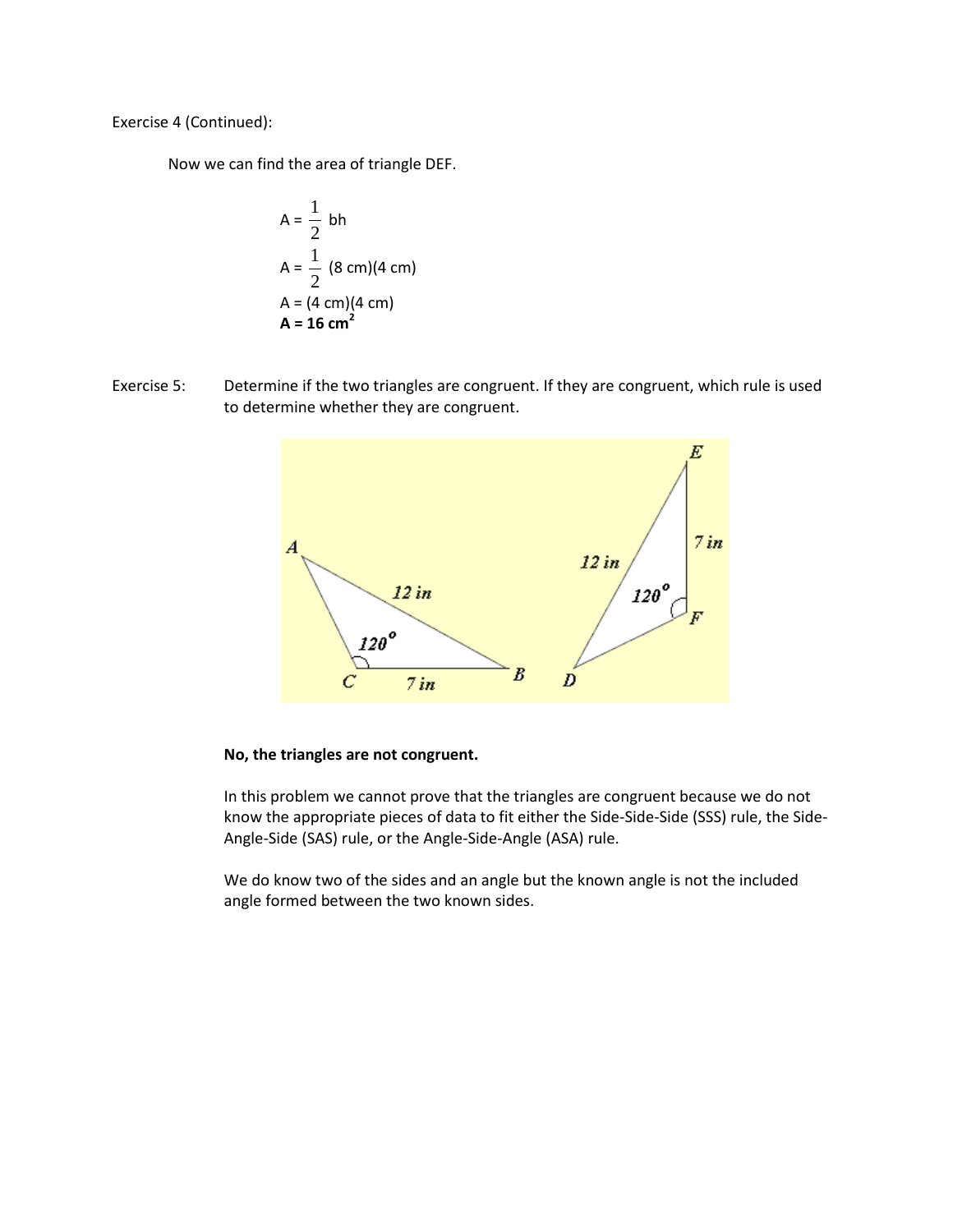Exercise 4 (Continued):

Now we can find the area of triangle DEF.

$$
A = \frac{1}{2} bh
$$
  
\n
$$
A = \frac{1}{2} (8 cm)(4 cm)
$$
  
\n
$$
A = (4 cm)(4 cm)
$$
  
\n
$$
A = 16 cm2
$$

Exercise 5: Determine if the two triangles are congruent. If they are congruent, which rule is used to determine whether they are congruent.



### **No, the triangles are not congruent.**

In this problem we cannot prove that the triangles are congruent because we do not know the appropriate pieces of data to fit either the Side-Side-Side (SSS) rule, the Side-Angle-Side (SAS) rule, or the Angle-Side-Angle (ASA) rule.

We do know two of the sides and an angle but the known angle is not the included angle formed between the two known sides.